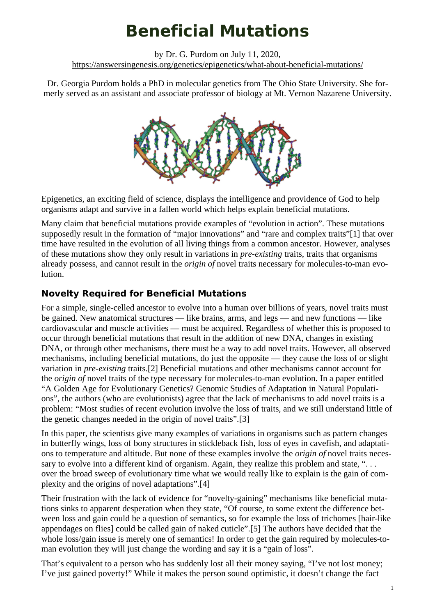# **Beneficial Mutations**

by Dr. G. Purdom on July 11, 2020, <https://answersingenesis.org/genetics/epigenetics/what-about-beneficial-mutations/>

Dr. Georgia Purdom holds a PhD in molecular genetics from The Ohio State University. She formerly served as an assistant and associate professor of biology at Mt. Vernon Nazarene University.



Epigenetics, an exciting field of science, displays the intelligence and providence of God to help organisms adapt and survive in a fallen world which helps explain beneficial mutations.

Many claim that beneficial mutations provide examples of "evolution in action". These mutations supposedly result in the formation of "major innovations" and "rare and complex traits"[1] that over time have resulted in the evolution of all living things from a common ancestor. However, analyses of these mutations show they only result in variations in *pre-existing* traits, traits that organisms already possess, and cannot result in the *origin of* novel traits necessary for molecules-to-man evolution.

# **Novelty Required for Beneficial Mutations**

For a simple, single-celled ancestor to evolve into a human over billions of years, novel traits must be gained. New anatomical structures — like brains, arms, and legs — and new functions — like cardiovascular and muscle activities — must be acquired. Regardless of whether this is proposed to occur through beneficial mutations that result in the addition of new DNA, changes in existing DNA, or through other mechanisms, there must be a way to add novel traits. However, all observed mechanisms, including beneficial mutations, do just the opposite — they cause the loss of or slight variation in *pre-existing* traits.[2] Beneficial mutations and other mechanisms cannot account for the *origin of* novel traits of the type necessary for molecules-to-man evolution. In a paper entitled "A Golden Age for Evolutionary Genetics? Genomic Studies of Adaptation in Natural Populations", the authors (who are evolutionists) agree that the lack of mechanisms to add novel traits is a problem: "Most studies of recent evolution involve the loss of traits, and we still understand little of the genetic changes needed in the origin of novel traits".[3]

In this paper, the scientists give many examples of variations in organisms such as pattern changes in butterfly wings, loss of bony structures in stickleback fish, loss of eyes in cavefish, and adaptations to temperature and altitude. But none of these examples involve the *origin of* novel traits necessary to evolve into a different kind of organism. Again, they realize this problem and state, "... over the broad sweep of evolutionary time what we would really like to explain is the gain of complexity and the origins of novel adaptations".[4]

Their frustration with the lack of evidence for "novelty-gaining" mechanisms like beneficial mutations sinks to apparent desperation when they state, "Of course, to some extent the difference between loss and gain could be a question of semantics, so for example the loss of trichomes [hair-like appendages on flies] could be called gain of naked cuticle".[5] The authors have decided that the whole loss/gain issue is merely one of semantics! In order to get the gain required by molecules-toman evolution they will just change the wording and say it is a "gain of loss".

That's equivalent to a person who has suddenly lost all their money saying, "I've not lost money; I've just gained poverty!" While it makes the person sound optimistic, it doesn't change the fact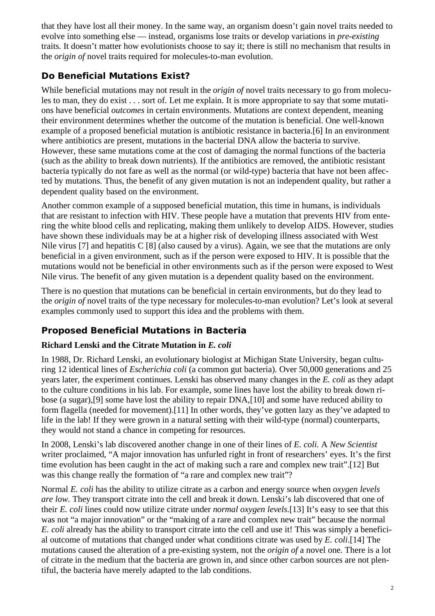that they have lost all their money. In the same way, an organism doesn't gain novel traits needed to evolve into something else — instead, organisms lose traits or develop variations in *pre-existing* traits. It doesn't matter how evolutionists choose to say it; there is still no mechanism that results in the *origin of* novel traits required for molecules-to-man evolution.

# **Do Beneficial Mutations Exist?**

While beneficial mutations may not result in the *origin of* novel traits necessary to go from molecules to man, they do exist . . . sort of. Let me explain. It is more appropriate to say that some mutations have beneficial *outcomes* in certain environments. Mutations are context dependent, meaning their environment determines whether the outcome of the mutation is beneficial. One well-known example of a proposed beneficial mutation is antibiotic resistance in bacteria.[6] In an environment where antibiotics are present, mutations in the bacterial DNA allow the bacteria to survive. However, these same mutations come at the cost of damaging the normal functions of the bacteria (such as the ability to break down nutrients). If the antibiotics are removed, the antibiotic resistant bacteria typically do not fare as well as the normal (or wild-type) bacteria that have not been affected by mutations. Thus, the benefit of any given mutation is not an independent quality, but rather a dependent quality based on the environment.

Another common example of a supposed beneficial mutation, this time in humans, is individuals that are resistant to infection with HIV. These people have a mutation that prevents HIV from entering the white blood cells and replicating, making them unlikely to develop AIDS. However, studies have shown these individuals may be at a higher risk of developing illness associated with West Nile virus [7] and hepatitis C [8] (also caused by a virus). Again, we see that the mutations are only beneficial in a given environment, such as if the person were exposed to HIV. It is possible that the mutations would not be beneficial in other environments such as if the person were exposed to West Nile virus. The benefit of any given mutation is a dependent quality based on the environment.

There is no question that mutations can be beneficial in certain environments, but do they lead to the *origin of* novel traits of the type necessary for molecules-to-man evolution? Let's look at several examples commonly used to support this idea and the problems with them.

# **Proposed Beneficial Mutations in Bacteria**

#### **Richard Lenski and the Citrate Mutation in** *E. coli*

In 1988, Dr. Richard Lenski, an evolutionary biologist at Michigan State University, began culturing 12 identical lines of *Escherichia coli* (a common gut bacteria). Over 50,000 generations and 25 years later, the experiment continues. Lenski has observed many changes in the *E. coli* as they adapt to the culture conditions in his lab. For example, some lines have lost the ability to break down ribose (a sugar),[9] some have lost the ability to repair DNA,[10] and some have reduced ability to form flagella (needed for movement).[11] In other words, they've gotten lazy as they've adapted to life in the lab! If they were grown in a natural setting with their wild-type (normal) counterparts, they would not stand a chance in competing for resources.

In 2008, Lenski's lab discovered another change in one of their lines of *E. coli*. A *New Scientist* writer proclaimed, "A major innovation has unfurled right in front of researchers' eyes. It's the first time evolution has been caught in the act of making such a rare and complex new trait".[12] But was this change really the formation of "a rare and complex new trait"?

Normal *E. coli* has the ability to utilize citrate as a carbon and energy source when *oxygen levels are low*. They transport citrate into the cell and break it down. Lenski's lab discovered that one of their *E. coli* lines could now utilize citrate under *normal oxygen levels*.[13] It's easy to see that this was not "a major innovation" or the "making of a rare and complex new trait" because the normal *E. coli* already has the ability to transport citrate into the cell and use it! This was simply a beneficial outcome of mutations that changed under what conditions citrate was used by *E. coli*.[14] The mutations caused the alteration of a pre-existing system, not the *origin of* a novel one. There is a lot of citrate in the medium that the bacteria are grown in, and since other carbon sources are not plentiful, the bacteria have merely adapted to the lab conditions.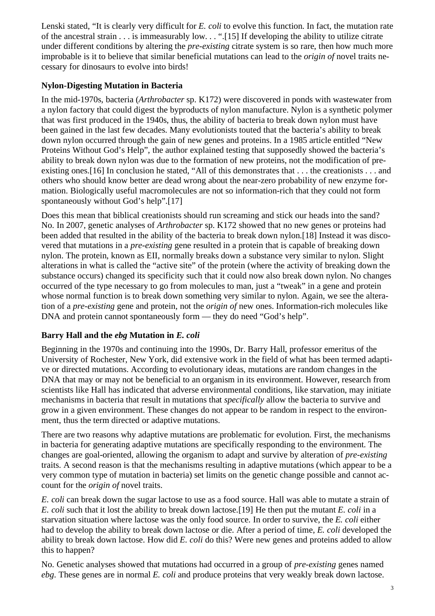Lenski stated, "It is clearly very difficult for *E. coli* to evolve this function. In fact, the mutation rate of the ancestral strain . . . is immeasurably low. . . ".[15] If developing the ability to utilize citrate under different conditions by altering the *pre-existing* citrate system is so rare, then how much more improbable is it to believe that similar beneficial mutations can lead to the *origin of* novel traits necessary for dinosaurs to evolve into birds!

#### **Nylon-Digesting Mutation in Bacteria**

In the mid-1970s, bacteria (*Arthrobacter* sp. K172) were discovered in ponds with wastewater from a nylon factory that could digest the byproducts of nylon manufacture. Nylon is a synthetic polymer that was first produced in the 1940s, thus, the ability of bacteria to break down nylon must have been gained in the last few decades. Many evolutionists touted that the bacteria's ability to break down nylon occurred through the gain of new genes and proteins. In a 1985 article entitled "New Proteins Without God's Help", the author explained testing that supposedly showed the bacteria's ability to break down nylon was due to the formation of new proteins, not the modification of preexisting ones.[16] In conclusion he stated, "All of this demonstrates that . . . the creationists . . . and others who should know better are dead wrong about the near-zero probability of new enzyme formation. Biologically useful macromolecules are not so information-rich that they could not form spontaneously without God's help".[17]

Does this mean that biblical creationists should run screaming and stick our heads into the sand? No. In 2007, genetic analyses of *Arthrobacter* sp. K172 showed that no new genes or proteins had been added that resulted in the ability of the bacteria to break down nylon.[18] Instead it was discovered that mutations in a *pre-existing* gene resulted in a protein that is capable of breaking down nylon. The protein, known as EII, normally breaks down a substance very similar to nylon. Slight alterations in what is called the "active site" of the protein (where the activity of breaking down the substance occurs) changed its specificity such that it could now also break down nylon. No changes occurred of the type necessary to go from molecules to man, just a "tweak" in a gene and protein whose normal function is to break down something very similar to nylon. Again, we see the alteration of a *pre-existing* gene and protein, not the *origin of* new ones. Information-rich molecules like DNA and protein cannot spontaneously form — they do need "God's help".

## **Barry Hall and the** *ebg* **Mutation in** *E. coli*

Beginning in the 1970s and continuing into the 1990s, Dr. Barry Hall, professor emeritus of the University of Rochester, New York, did extensive work in the field of what has been termed adaptive or directed mutations. According to evolutionary ideas, mutations are random changes in the DNA that may or may not be beneficial to an organism in its environment. However, research from scientists like Hall has indicated that adverse environmental conditions, like starvation, may initiate mechanisms in bacteria that result in mutations that *specifically* allow the bacteria to survive and grow in a given environment. These changes do not appear to be random in respect to the environment, thus the term directed or adaptive mutations.

There are two reasons why adaptive mutations are problematic for evolution. First, the mechanisms in bacteria for generating adaptive mutations are specifically responding to the environment. The changes are goal-oriented, allowing the organism to adapt and survive by alteration of *pre-existing* traits. A second reason is that the mechanisms resulting in adaptive mutations (which appear to be a very common type of mutation in bacteria) set limits on the genetic change possible and cannot account for the *origin of* novel traits.

*E. coli* can break down the sugar lactose to use as a food source. Hall was able to mutate a strain of *E. coli* such that it lost the ability to break down lactose.[19] He then put the mutant *E. coli* in a starvation situation where lactose was the only food source. In order to survive, the *E. coli* either had to develop the ability to break down lactose or die. After a period of time, *E. coli* developed the ability to break down lactose. How did *E. coli* do this? Were new genes and proteins added to allow this to happen?

No. Genetic analyses showed that mutations had occurred in a group of *pre-existing* genes named *ebg*. These genes are in normal *E. coli* and produce proteins that very weakly break down lactose.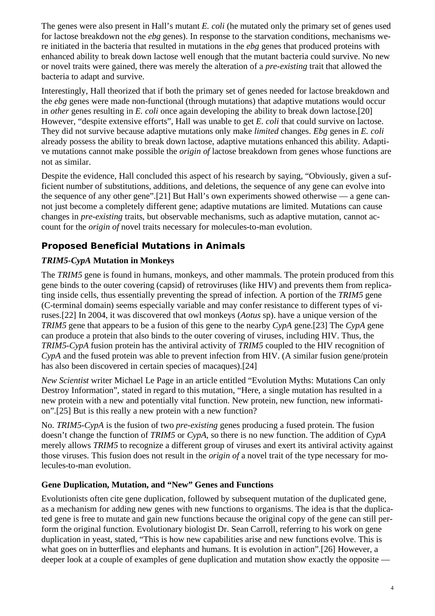The genes were also present in Hall's mutant *E. coli* (he mutated only the primary set of genes used for lactose breakdown not the *ebg* genes). In response to the starvation conditions, mechanisms were initiated in the bacteria that resulted in mutations in the *ebg* genes that produced proteins with enhanced ability to break down lactose well enough that the mutant bacteria could survive. No new or novel traits were gained, there was merely the alteration of a *pre-existing* trait that allowed the bacteria to adapt and survive.

Interestingly, Hall theorized that if both the primary set of genes needed for lactose breakdown and the *ebg* genes were made non-functional (through mutations) that adaptive mutations would occur in *other* genes resulting in *E. coli* once again developing the ability to break down lactose.[20] However, "despite extensive efforts", Hall was unable to get *E. coli* that could survive on lactose. They did not survive because adaptive mutations only make *limited* changes. *Ebg* genes in *E. coli* already possess the ability to break down lactose, adaptive mutations enhanced this ability. Adaptive mutations cannot make possible the *origin of* lactose breakdown from genes whose functions are not as similar.

Despite the evidence, Hall concluded this aspect of his research by saying, "Obviously, given a sufficient number of substitutions, additions, and deletions, the sequence of any gene can evolve into the sequence of any other gene".[21] But Hall's own experiments showed otherwise — a gene cannot just become a completely different gene; adaptive mutations are limited. Mutations can cause changes in *pre-existing* traits, but observable mechanisms, such as adaptive mutation, cannot account for the *origin of* novel traits necessary for molecules-to-man evolution.

# **Proposed Beneficial Mutations in Animals**

#### *TRIM5-CypA* **Mutation in Monkeys**

The *TRIM5* gene is found in humans, monkeys, and other mammals. The protein produced from this gene binds to the outer covering (capsid) of retroviruses (like HIV) and prevents them from replicating inside cells, thus essentially preventing the spread of infection. A portion of the *TRIM5* gene (C-terminal domain) seems especially variable and may confer resistance to different types of viruses.[22] In 2004, it was discovered that owl monkeys (*Aotus* sp). have a unique version of the *TRIM5* gene that appears to be a fusion of this gene to the nearby *CypA* gene.[23] The *CypA* gene can produce a protein that also binds to the outer covering of viruses, including HIV. Thus, the *TRIM5-CypA* fusion protein has the antiviral activity of *TRIM5* coupled to the HIV recognition of *CypA* and the fused protein was able to prevent infection from HIV. (A similar fusion gene/protein has also been discovered in certain species of macaques).[24]

*New Scientist* writer Michael Le Page in an article entitled "Evolution Myths: Mutations Can only Destroy Information", stated in regard to this mutation, "Here, a single mutation has resulted in a new protein with a new and potentially vital function. New protein, new function, new information".[25] But is this really a new protein with a new function?

No. *TRIM5-CypA* is the fusion of two *pre-existing* genes producing a fused protein. The fusion doesn't change the function of *TRIM5* or *CypA*, so there is no new function. The addition of *CypA* merely allows *TRIM5* to recognize a different group of viruses and exert its antiviral activity against those viruses. This fusion does not result in the *origin of* a novel trait of the type necessary for molecules-to-man evolution.

#### **Gene Duplication, Mutation, and "New" Genes and Functions**

Evolutionists often cite gene duplication, followed by subsequent mutation of the duplicated gene, as a mechanism for adding new genes with new functions to organisms. The idea is that the duplicated gene is free to mutate and gain new functions because the original copy of the gene can still perform the original function. Evolutionary biologist Dr. Sean Carroll, referring to his work on gene duplication in yeast, stated, "This is how new capabilities arise and new functions evolve. This is what goes on in butterflies and elephants and humans. It is evolution in action".[26] However, a deeper look at a couple of examples of gene duplication and mutation show exactly the opposite —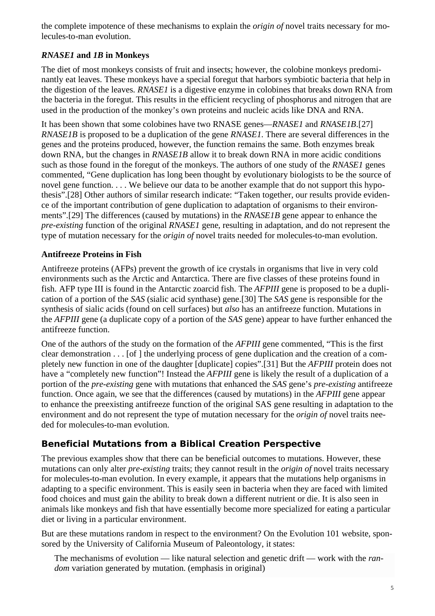the complete impotence of these mechanisms to explain the *origin of* novel traits necessary for molecules-to-man evolution.

### *RNASE1* **and** *1B* **in Monkeys**

The diet of most monkeys consists of fruit and insects; however, the colobine monkeys predominantly eat leaves. These monkeys have a special foregut that harbors symbiotic bacteria that help in the digestion of the leaves. *RNASE1* is a digestive enzyme in colobines that breaks down RNA from the bacteria in the foregut. This results in the efficient recycling of phosphorus and nitrogen that are used in the production of the monkey's own proteins and nucleic acids like DNA and RNA.

It has been shown that some colobines have two RNASE genes—*RNASE1* and *RNASE1B*.[27] *RNASE1B* is proposed to be a duplication of the gene *RNASE1*. There are several differences in the genes and the proteins produced, however, the function remains the same. Both enzymes break down RNA, but the changes in *RNASE1B* allow it to break down RNA in more acidic conditions such as those found in the foregut of the monkeys. The authors of one study of the *RNASE1* genes commented, "Gene duplication has long been thought by evolutionary biologists to be the source of novel gene function. . . . We believe our data to be another example that do not support this hypothesis".[28] Other authors of similar research indicate: "Taken together, our results provide evidence of the important contribution of gene duplication to adaptation of organisms to their environments".[29] The differences (caused by mutations) in the *RNASE1B* gene appear to enhance the *pre-existing* function of the original *RNASE1* gene, resulting in adaptation, and do not represent the type of mutation necessary for the *origin of* novel traits needed for molecules-to-man evolution.

#### **Antifreeze Proteins in Fish**

Antifreeze proteins (AFPs) prevent the growth of ice crystals in organisms that live in very cold environments such as the Arctic and Antarctica. There are five classes of these proteins found in fish. AFP type III is found in the Antarctic zoarcid fish. The *AFPIII* gene is proposed to be a duplication of a portion of the *SAS* (sialic acid synthase) gene.[30] The *SAS* gene is responsible for the synthesis of sialic acids (found on cell surfaces) but *also* has an antifreeze function. Mutations in the *AFPIII* gene (a duplicate copy of a portion of the *SAS* gene) appear to have further enhanced the antifreeze function.

One of the authors of the study on the formation of the *AFPIII* gene commented, "This is the first clear demonstration . . . [of ] the underlying process of gene duplication and the creation of a completely new function in one of the daughter [duplicate] copies".[31] But the *AFPIII* protein does not have a "completely new function"! Instead the *AFPIII* gene is likely the result of a duplication of a portion of the *pre-existing* gene with mutations that enhanced the *SAS* gene's *pre-existing* antifreeze function. Once again, we see that the differences (caused by mutations) in the *AFPIII* gene appear to enhance the preexisting antifreeze function of the original SAS gene resulting in adaptation to the environment and do not represent the type of mutation necessary for the *origin of* novel traits needed for molecules-to-man evolution.

## **Beneficial Mutations from a Biblical Creation Perspective**

The previous examples show that there can be beneficial outcomes to mutations. However, these mutations can only alter *pre-existing* traits; they cannot result in the *origin of* novel traits necessary for molecules-to-man evolution. In every example, it appears that the mutations help organisms in adapting to a specific environment. This is easily seen in bacteria when they are faced with limited food choices and must gain the ability to break down a different nutrient or die. It is also seen in animals like monkeys and fish that have essentially become more specialized for eating a particular diet or living in a particular environment.

But are these mutations random in respect to the environment? On the Evolution 101 website, sponsored by the University of California Museum of Paleontology, it states:

The mechanisms of evolution — like natural selection and genetic drift — work with the *random* variation generated by mutation. (emphasis in original)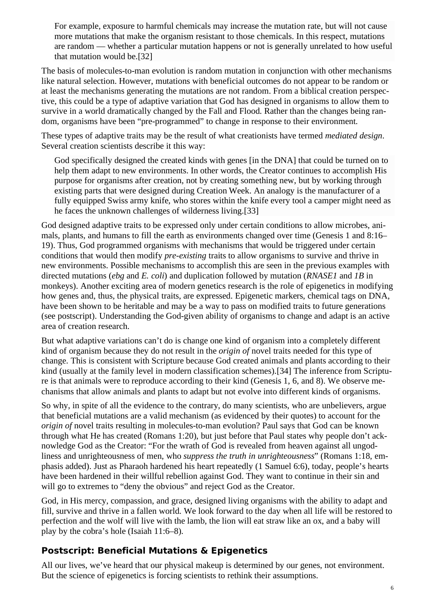For example, exposure to harmful chemicals may increase the mutation rate, but will not cause more mutations that make the organism resistant to those chemicals. In this respect, mutations are random — whether a particular mutation happens or not is generally unrelated to how useful that mutation would be.[32]

The basis of molecules-to-man evolution is random mutation in conjunction with other mechanisms like natural selection. However, mutations with beneficial outcomes do not appear to be random or at least the mechanisms generating the mutations are not random. From a biblical creation perspective, this could be a type of adaptive variation that God has designed in organisms to allow them to survive in a world dramatically changed by the Fall and Flood. Rather than the changes being random, organisms have been "pre-programmed" to change in response to their environment.

These types of adaptive traits may be the result of what creationists have termed *mediated design*. Several creation scientists describe it this way:

God specifically designed the created kinds with genes [in the DNA] that could be turned on to help them adapt to new environments. In other words, the Creator continues to accomplish His purpose for organisms after creation, not by creating something new, but by working through existing parts that were designed during Creation Week. An analogy is the manufacturer of a fully equipped Swiss army knife, who stores within the knife every tool a camper might need as he faces the unknown challenges of wilderness living.[33]

God designed adaptive traits to be expressed only under certain conditions to allow microbes, animals, plants, and humans to fill the earth as environments changed over time (Genesis 1 and 8:16– 19). Thus, God programmed organisms with mechanisms that would be triggered under certain conditions that would then modify *pre-existing* traits to allow organisms to survive and thrive in new environments. Possible mechanisms to accomplish this are seen in the previous examples with directed mutations (*ebg* and *E. coli*) and duplication followed by mutation (*RNASE1* and *1B* in monkeys). Another exciting area of modern genetics research is the role of epigenetics in modifying how genes and, thus, the physical traits, are expressed. Epigenetic markers, chemical tags on DNA, have been shown to be heritable and may be a way to pass on modified traits to future generations (see postscript). Understanding the God-given ability of organisms to change and adapt is an active area of creation research.

But what adaptive variations can't do is change one kind of organism into a completely different kind of organism because they do not result in the *origin of* novel traits needed for this type of change. This is consistent with Scripture because God created animals and plants according to their kind (usually at the family level in modern classification schemes).[34] The inference from Scripture is that animals were to reproduce according to their kind (Genesis 1, 6, and 8). We observe mechanisms that allow animals and plants to adapt but not evolve into different kinds of organisms.

So why, in spite of all the evidence to the contrary, do many scientists, who are unbelievers, argue that beneficial mutations are a valid mechanism (as evidenced by their quotes) to account for the *origin of* novel traits resulting in molecules-to-man evolution? Paul says that God can be known through what He has created (Romans 1:20), but just before that Paul states why people don't acknowledge God as the Creator: "For the wrath of God is revealed from heaven against all ungodliness and unrighteousness of men, who *suppress the truth in unrighteousness*" (Romans 1:18, emphasis added). Just as Pharaoh hardened his heart repeatedly (1 Samuel 6:6), today, people's hearts have been hardened in their willful rebellion against God. They want to continue in their sin and will go to extremes to "deny the obvious" and reject God as the Creator.

God, in His mercy, compassion, and grace, designed living organisms with the ability to adapt and fill, survive and thrive in a fallen world. We look forward to the day when all life will be restored to perfection and the wolf will live with the lamb, the lion will eat straw like an ox, and a baby will play by the cobra's hole (Isaiah 11:6–8).

## **Postscript: Beneficial Mutations & Epigenetics**

All our lives, we've heard that our physical makeup is determined by our genes, not environment. But the science of epigenetics is forcing scientists to rethink their assumptions.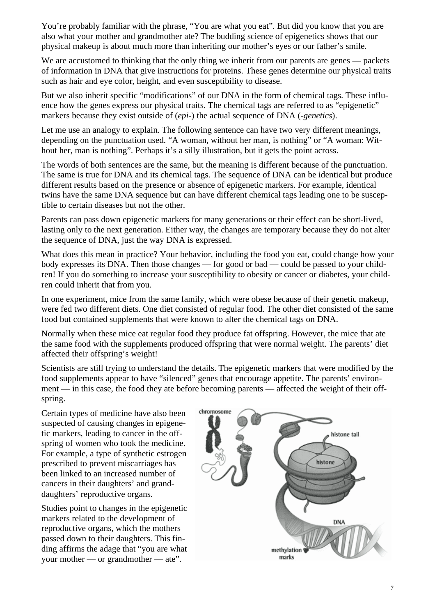You're probably familiar with the phrase, "You are what you eat". But did you know that you are also what your mother and grandmother ate? The budding science of epigenetics shows that our physical makeup is about much more than inheriting our mother's eyes or our father's smile.

We are accustomed to thinking that the only thing we inherit from our parents are genes — packets of information in DNA that give instructions for proteins. These genes determine our physical traits such as hair and eye color, height, and even susceptibility to disease.

But we also inherit specific "modifications" of our DNA in the form of chemical tags. These influence how the genes express our physical traits. The chemical tags are referred to as "epigenetic" markers because they exist outside of (*epi*-) the actual sequence of DNA (-*genetics*).

Let me use an analogy to explain. The following sentence can have two very different meanings, depending on the punctuation used. "A woman, without her man, is nothing" or "A woman: Without her, man is nothing". Perhaps it's a silly illustration, but it gets the point across.

The words of both sentences are the same, but the meaning is different because of the punctuation. The same is true for DNA and its chemical tags. The sequence of DNA can be identical but produce different results based on the presence or absence of epigenetic markers. For example, identical twins have the same DNA sequence but can have different chemical tags leading one to be susceptible to certain diseases but not the other.

Parents can pass down epigenetic markers for many generations or their effect can be short-lived, lasting only to the next generation. Either way, the changes are temporary because they do not alter the sequence of DNA, just the way DNA is expressed.

What does this mean in practice? Your behavior, including the food you eat, could change how your body expresses its DNA. Then those changes — for good or bad — could be passed to your children! If you do something to increase your susceptibility to obesity or cancer or diabetes, your children could inherit that from you.

In one experiment, mice from the same family, which were obese because of their genetic makeup, were fed two different diets. One diet consisted of regular food. The other diet consisted of the same food but contained supplements that were known to alter the chemical tags on DNA.

Normally when these mice eat regular food they produce fat offspring. However, the mice that ate the same food with the supplements produced offspring that were normal weight. The parents' diet affected their offspring's weight!

Scientists are still trying to understand the details. The epigenetic markers that were modified by the food supplements appear to have "silenced" genes that encourage appetite. The parents' environment — in this case, the food they ate before becoming parents — affected the weight of their offspring.

Certain types of medicine have also been suspected of causing changes in epigenetic markers, leading to cancer in the offspring of women who took the medicine. For example, a type of synthetic estrogen prescribed to prevent miscarriages has been linked to an increased number of cancers in their daughters' and granddaughters' reproductive organs.

Studies point to changes in the epigenetic markers related to the development of reproductive organs, which the mothers passed down to their daughters. This finding affirms the adage that "you are what your mother — or grandmother — ate".

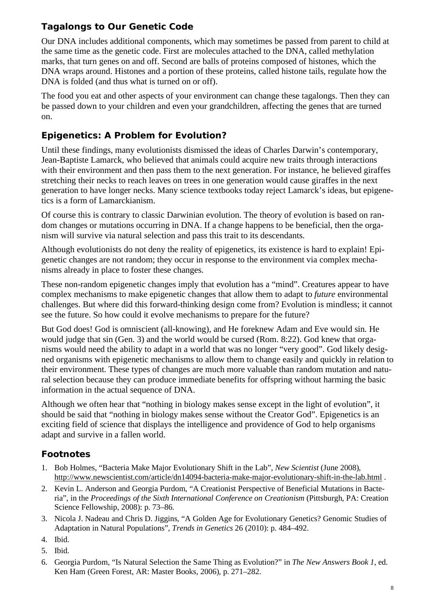# **Tagalongs to Our Genetic Code**

Our DNA includes additional components, which may sometimes be passed from parent to child at the same time as the genetic code. First are molecules attached to the DNA, called methylation marks, that turn genes on and off. Second are balls of proteins composed of histones, which the DNA wraps around. Histones and a portion of these proteins, called histone tails, regulate how the DNA is folded (and thus what is turned on or off).

The food you eat and other aspects of your environment can change these tagalongs. Then they can be passed down to your children and even your grandchildren, affecting the genes that are turned on.

# **Epigenetics: A Problem for Evolution?**

Until these findings, many evolutionists dismissed the ideas of Charles Darwin's contemporary, Jean-Baptiste Lamarck, who believed that animals could acquire new traits through interactions with their environment and then pass them to the next generation. For instance, he believed giraffes stretching their necks to reach leaves on trees in one generation would cause giraffes in the next generation to have longer necks. Many science textbooks today reject Lamarck's ideas, but epigenetics is a form of Lamarckianism.

Of course this is contrary to classic Darwinian evolution. The theory of evolution is based on random changes or mutations occurring in DNA. If a change happens to be beneficial, then the organism will survive via natural selection and pass this trait to its descendants.

Although evolutionists do not deny the reality of epigenetics, its existence is hard to explain! Epigenetic changes are not random; they occur in response to the environment via complex mechanisms already in place to foster these changes.

These non-random epigenetic changes imply that evolution has a "mind". Creatures appear to have complex mechanisms to make epigenetic changes that allow them to adapt to *future* environmental challenges. But where did this forward-thinking design come from? Evolution is mindless; it cannot see the future. So how could it evolve mechanisms to prepare for the future?

But God does! God is omniscient (all-knowing), and He foreknew Adam and Eve would sin. He would judge that sin (Gen. 3) and the world would be cursed (Rom. 8:22). God knew that organisms would need the ability to adapt in a world that was no longer "very good". God likely designed organisms with epigenetic mechanisms to allow them to change easily and quickly in relation to their environment. These types of changes are much more valuable than random mutation and natural selection because they can produce immediate benefits for offspring without harming the basic information in the actual sequence of DNA.

Although we often hear that "nothing in biology makes sense except in the light of evolution", it should be said that "nothing in biology makes sense without the Creator God". Epigenetics is an exciting field of science that displays the intelligence and providence of God to help organisms adapt and survive in a fallen world.

# **Footnotes**

- 1. Bob Holmes, "Bacteria Make Major Evolutionary Shift in the Lab", *New Scientist* (June 2008), <http://www.newscientist.com/article/dn14094-bacteria-make-major-evolutionary-shift-in-the-lab.html> .
- 2. Kevin L. Anderson and Georgia Purdom, "A Creationist Perspective of Beneficial Mutations in Bacteria", in the *Proceedings of the Sixth International Conference on Creationism* (Pittsburgh, PA: Creation Science Fellowship, 2008): p. 73–86.
- 3. Nicola J. Nadeau and Chris D. Jiggins, "A Golden Age for Evolutionary Genetics? Genomic Studies of Adaptation in Natural Populations", *Trends in Genetics* 26 (2010): p. 484–492.
- 4. Ibid.
- 5. Ibid.
- 6. Georgia Purdom, "Is Natural Selection the Same Thing as Evolution?" in *The New Answers Book 1*, ed. Ken Ham (Green Forest, AR: Master Books, 2006), p. 271–282.